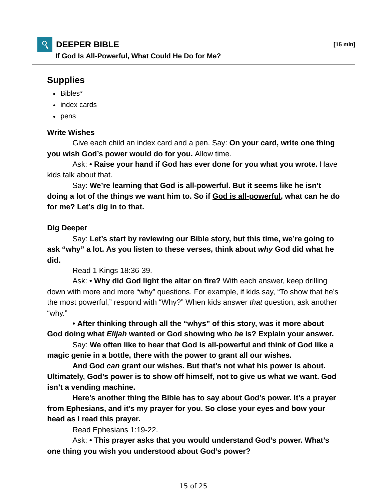# **DEEPER BIBLE [15 min]**

**If God Is All-Powerful, What Could He Do for Me?**

# **Supplies**

- $\cdot$  Bibles\*
- index cards
- pens

## **Write Wishes**

 Give each child an index card and a pen. Say: **On your card, write one thing you wish God's power would do for you.** Allow time.

 Ask: **• Raise your hand if God has ever done for you what you wrote.** Have kids talk about that.

 Say: **We're learning that God is all-powerful. But it seems like he isn't doing a lot of the things we want him to. So if God is all-powerful, what can he do for me? Let's dig in to that.**

### **Dig Deeper**

 Say: **Let's start by reviewing our Bible story, but this time, we're going to ask "why" a lot. As you listen to these verses, think about** *why* **God did what he did.**

Read 1 Kings 18:36-39.

 Ask: **• Why did God light the altar on fire?** With each answer, keep drilling down with more and more "why" questions. For example, if kids say, "To show that he's the most powerful," respond with "Why?" When kids answer *that* question, ask another "why."

**• After thinking through all the "whys" of this story, was it more about God doing what** *Elijah* **wanted or God showing who** *he* **is? Explain your answer.**

 Say: **We often like to hear that God is all-powerful and think of God like a magic genie in a bottle, there with the power to grant all our wishes.**

 **And God** *can* **grant our wishes. But that's not what his power is about. Ultimately, God's power is to show off himself, not to give us what we want. God isn't a vending machine.**

 **Here's another thing the Bible has to say about God's power. It's a prayer from Ephesians, and it's my prayer for you. So close your eyes and bow your head as I read this prayer.**

Read Ephesians 1:19-22.

 Ask: **• This prayer asks that you would understand God's power. What's one thing you wish you understood about God's power?**